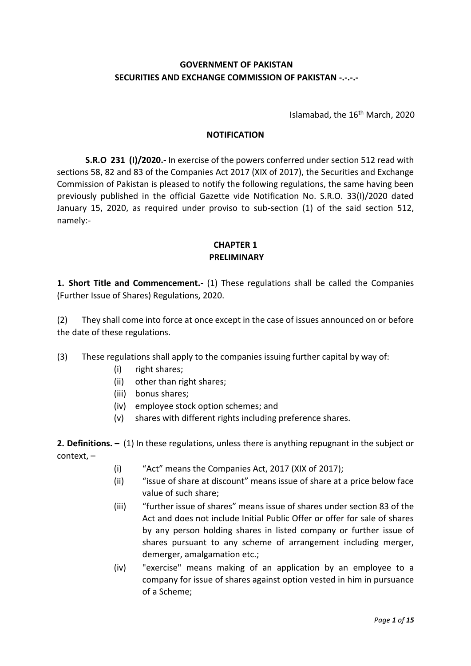## **GOVERNMENT OF PAKISTAN SECURITIES AND EXCHANGE COMMISSION OF PAKISTAN -.-.-.-**

Islamabad, the 16<sup>th</sup> March, 2020

#### **NOTIFICATION**

**S.R.O 231 (I)/2020.-** In exercise of the powers conferred under section 512 read with sections 58, 82 and 83 of the Companies Act 2017 (XIX of 2017), the Securities and Exchange Commission of Pakistan is pleased to notify the following regulations, the same having been previously published in the official Gazette vide Notification No. S.R.O. 33(I)/2020 dated January 15, 2020, as required under proviso to sub-section (1) of the said section 512, namely:-

#### **CHAPTER 1 PRELIMINARY**

**1. Short Title and Commencement.-** (1) These regulations shall be called the Companies (Further Issue of Shares) Regulations, 2020.

(2) They shall come into force at once except in the case of issues announced on or before the date of these regulations.

(3) These regulations shall apply to the companies issuing further capital by way of:

- (i) right shares;
- (ii) other than right shares;
- (iii) bonus shares;
- (iv) employee stock option schemes; and
- (v) shares with different rights including preference shares.

**2. Definitions. –** (1) In these regulations, unless there is anything repugnant in the subject or context, –

- (i) "Act" means the Companies Act, 2017 (XIX of 2017);
- (ii) "issue of share at discount" means issue of share at a price below face value of such share;
- (iii) "further issue of shares" means issue of shares under section 83 of the Act and does not include Initial Public Offer or offer for sale of shares by any person holding shares in listed company or further issue of shares pursuant to any scheme of arrangement including merger, demerger, amalgamation etc.;
- (iv) "exercise" means making of an application by an employee to a company for issue of shares against option vested in him in pursuance of a Scheme;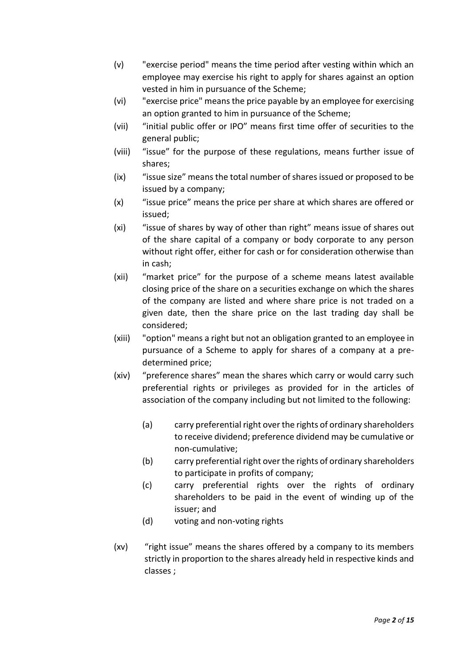- (v) "exercise period" means the time period after vesting within which an employee may exercise his right to apply for shares against an option vested in him in pursuance of the Scheme;
- (vi) "exercise price" means the price payable by an employee for exercising an option granted to him in pursuance of the Scheme;
- (vii) "initial public offer or IPO" means first time offer of securities to the general public;
- (viii) "issue" for the purpose of these regulations, means further issue of shares;
- (ix) "issue size" means the total number of shares issued or proposed to be issued by a company;
- (x) "issue price" means the price per share at which shares are offered or issued;
- (xi) "issue of shares by way of other than right" means issue of shares out of the share capital of a company or body corporate to any person without right offer, either for cash or for consideration otherwise than in cash;
- (xii) "market price" for the purpose of a scheme means latest available closing price of the share on a securities exchange on which the shares of the company are listed and where share price is not traded on a given date, then the share price on the last trading day shall be considered;
- (xiii) "option" means a right but not an obligation granted to an employee in pursuance of a Scheme to apply for shares of a company at a predetermined price;
- (xiv) "preference shares" mean the shares which carry or would carry such preferential rights or privileges as provided for in the articles of association of the company including but not limited to the following:
	- (a) carry preferential right over the rights of ordinary shareholders to receive dividend; preference dividend may be cumulative or non-cumulative;
	- (b) carry preferential right over the rights of ordinary shareholders to participate in profits of company;
	- (c) carry preferential rights over the rights of ordinary shareholders to be paid in the event of winding up of the issuer; and
	- (d) voting and non-voting rights
- (xv) "right issue" means the shares offered by a company to its members strictly in proportion to the shares already held in respective kinds and classes ;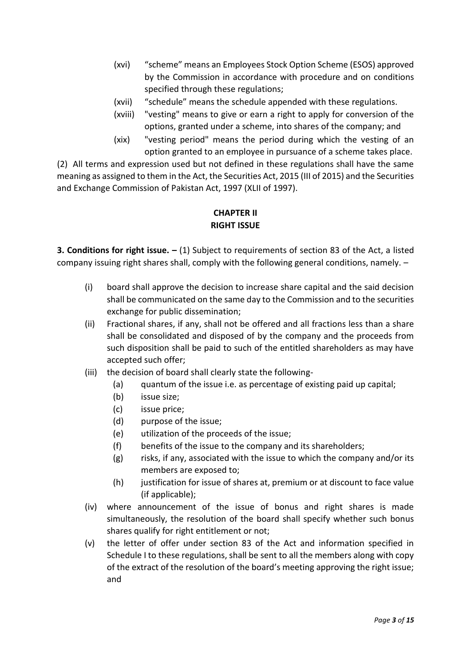- (xvi) "scheme" means an Employees Stock Option Scheme (ESOS) approved by the Commission in accordance with procedure and on conditions specified through these regulations;
- (xvii) "schedule" means the schedule appended with these regulations.
- (xviii) "vesting" means to give or earn a right to apply for conversion of the options, granted under a scheme, into shares of the company; and
- (xix) "vesting period" means the period during which the vesting of an option granted to an employee in pursuance of a scheme takes place.

(2) All terms and expression used but not defined in these regulations shall have the same meaning as assigned to them in the Act, the Securities Act, 2015 (III of 2015) and the Securities and Exchange Commission of Pakistan Act, 1997 (XLII of 1997).

# **CHAPTER II RIGHT ISSUE**

**3. Conditions for right issue. –** (1) Subject to requirements of section 83 of the Act, a listed company issuing right shares shall, comply with the following general conditions, namely. –

- (i) board shall approve the decision to increase share capital and the said decision shall be communicated on the same day to the Commission and to the securities exchange for public dissemination;
- (ii) Fractional shares, if any, shall not be offered and all fractions less than a share shall be consolidated and disposed of by the company and the proceeds from such disposition shall be paid to such of the entitled shareholders as may have accepted such offer;
- (iii) the decision of board shall clearly state the following-
	- (a) quantum of the issue i.e. as percentage of existing paid up capital;
	- (b) issue size;
	- (c) issue price;
	- (d) purpose of the issue;
	- (e) utilization of the proceeds of the issue;
	- (f) benefits of the issue to the company and its shareholders;
	- (g) risks, if any, associated with the issue to which the company and/or its members are exposed to;
	- (h) justification for issue of shares at, premium or at discount to face value (if applicable);
- (iv) where announcement of the issue of bonus and right shares is made simultaneously, the resolution of the board shall specify whether such bonus shares qualify for right entitlement or not;
- (v) the letter of offer under section 83 of the Act and information specified in Schedule I to these regulations, shall be sent to all the members along with copy of the extract of the resolution of the board's meeting approving the right issue; and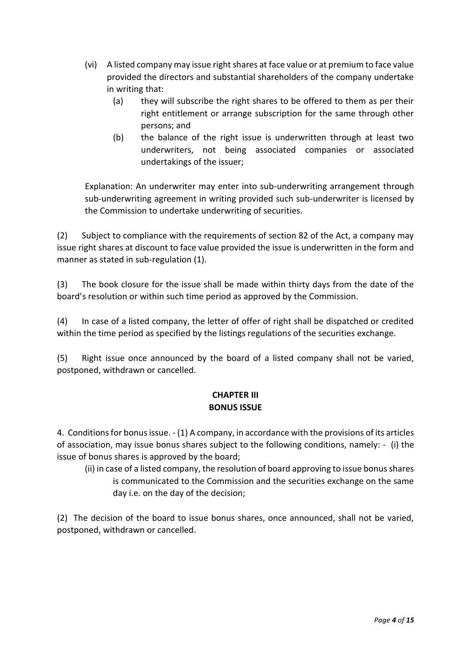- (vi) A listed company may issue right shares at face value or at premium to face value provided the directors and substantial shareholders of the company undertake in writing that:
	- (a) they will subscribe the right shares to be offered to them as per their right entitlement or arrange subscription for the same through other persons; and
	- (b) the balance of the right issue is underwritten through at least two underwriters, not being associated companies or associated undertakings of the issuer;

Explanation: An underwriter may enter into sub-underwriting arrangement through sub-underwriting agreement in writing provided such sub-underwriter is licensed by the Commission to undertake underwriting of securities.

(2) Subject to compliance with the requirements of section 82 of the Act, a company may issue right shares at discount to face value provided the issue is underwritten in the form and manner as stated in sub-regulation (1).

(3) The book closure for the issue shall be made within thirty days from the date of the board's resolution or within such time period as approved by the Commission.

(4) In case of a listed company, the letter of offer of right shall be dispatched or credited within the time period as specified by the listings regulations of the securities exchange.

(5) Right issue once announced by the board of a listed company shall not be varied, postponed, withdrawn or cancelled.

# **CHAPTER III BONUS ISSUE**

4. Conditions for bonus issue. - (1) A company, in accordance with the provisions of its articles of association, may issue bonus shares subject to the following conditions, namely: - (i) the issue of bonus shares is approved by the board;

(ii) in case of a listed company, the resolution of board approving to issue bonus shares is communicated to the Commission and the securities exchange on the same day i.e. on the day of the decision;

(2) The decision of the board to issue bonus shares, once announced, shall not be varied, postponed, withdrawn or cancelled.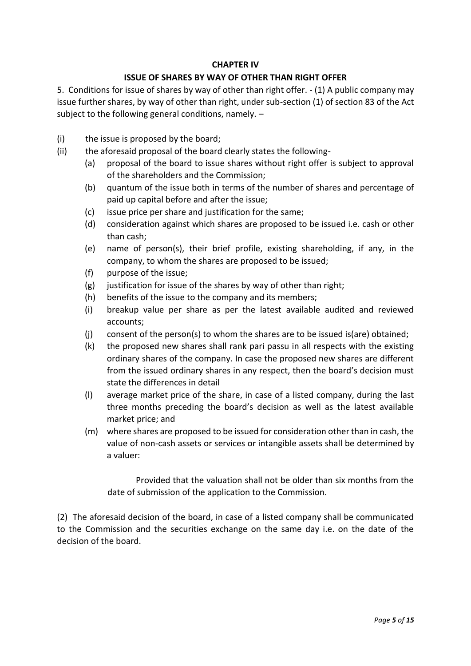#### **CHAPTER IV**

#### **ISSUE OF SHARES BY WAY OF OTHER THAN RIGHT OFFER**

5. Conditions for issue of shares by way of other than right offer. - (1) A public company may issue further shares, by way of other than right, under sub-section (1) of section 83 of the Act subject to the following general conditions, namely. –

- (i) the issue is proposed by the board;
- (ii) the aforesaid proposal of the board clearly states the following-
	- (a) proposal of the board to issue shares without right offer is subject to approval of the shareholders and the Commission;
	- (b) quantum of the issue both in terms of the number of shares and percentage of paid up capital before and after the issue;
	- (c) issue price per share and justification for the same;
	- (d) consideration against which shares are proposed to be issued i.e. cash or other than cash;
	- (e) name of person(s), their brief profile, existing shareholding, if any, in the company, to whom the shares are proposed to be issued;
	- (f) purpose of the issue;
	- (g) justification for issue of the shares by way of other than right;
	- (h) benefits of the issue to the company and its members;
	- (i) breakup value per share as per the latest available audited and reviewed accounts;
	- (j) consent of the person(s) to whom the shares are to be issued is(are) obtained;
	- (k) the proposed new shares shall rank pari passu in all respects with the existing ordinary shares of the company. In case the proposed new shares are different from the issued ordinary shares in any respect, then the board's decision must state the differences in detail
	- (l) average market price of the share, in case of a listed company, during the last three months preceding the board's decision as well as the latest available market price; and
	- (m) where shares are proposed to be issued for consideration other than in cash, the value of non-cash assets or services or intangible assets shall be determined by a valuer:

Provided that the valuation shall not be older than six months from the date of submission of the application to the Commission.

(2) The aforesaid decision of the board, in case of a listed company shall be communicated to the Commission and the securities exchange on the same day i.e. on the date of the decision of the board.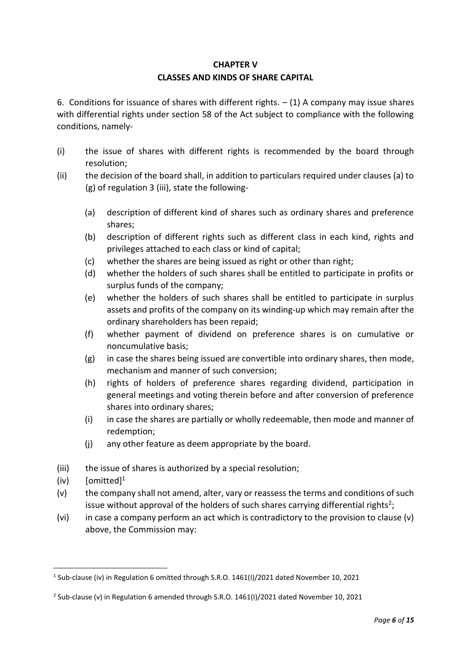# **CHAPTER V CLASSES AND KINDS OF SHARE CAPITAL**

6. Conditions for issuance of shares with different rights.  $- (1)$  A company may issue shares with differential rights under section 58 of the Act subject to compliance with the following conditions, namely-

- (i) the issue of shares with different rights is recommended by the board through resolution;
- (ii) the decision of the board shall, in addition to particulars required under clauses (a) to (g) of regulation 3 (iii), state the following-
	- (a) description of different kind of shares such as ordinary shares and preference shares;
	- (b) description of different rights such as different class in each kind, rights and privileges attached to each class or kind of capital;
	- (c) whether the shares are being issued as right or other than right;
	- (d) whether the holders of such shares shall be entitled to participate in profits or surplus funds of the company;
	- (e) whether the holders of such shares shall be entitled to participate in surplus assets and profits of the company on its winding-up which may remain after the ordinary shareholders has been repaid;
	- (f) whether payment of dividend on preference shares is on cumulative or noncumulative basis;
	- (g) in case the shares being issued are convertible into ordinary shares, then mode, mechanism and manner of such conversion;
	- (h) rights of holders of preference shares regarding dividend, participation in general meetings and voting therein before and after conversion of preference shares into ordinary shares;
	- (i) in case the shares are partially or wholly redeemable, then mode and manner of redemption;
	- (j) any other feature as deem appropriate by the board.
- (iii) the issue of shares is authorized by a special resolution;
- $(iv)$  [omitted]<sup>1</sup>
- (v) the company shall not amend, alter, vary or reassess the terms and conditions of such issue without approval of the holders of such shares carrying differential rights<sup>2</sup>;
- (vi) in case a company perform an act which is contradictory to the provision to clause (v) above, the Commission may:

 $\overline{a}$ <sup>1</sup> Sub-clause (iv) in Regulation 6 omitted through S.R.O. 1461(I)/2021 dated November 10, 2021

<sup>2</sup> Sub-clause (v) in Regulation 6 amended through S.R.O. 1461(I)/2021 dated November 10, 2021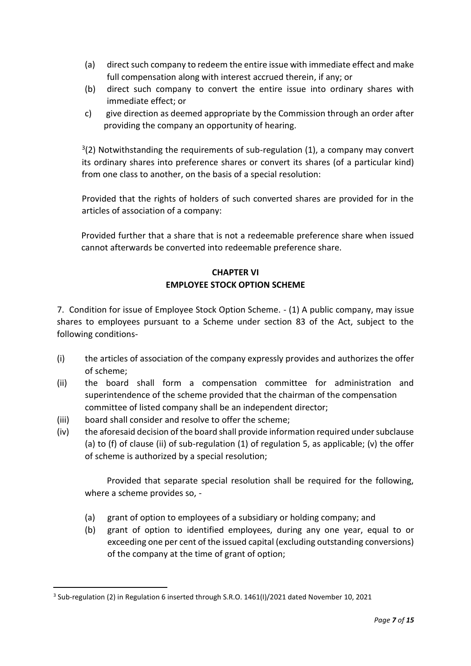- (a) direct such company to redeem the entire issue with immediate effect and make full compensation along with interest accrued therein, if any; or
- (b) direct such company to convert the entire issue into ordinary shares with immediate effect; or
- c) give direction as deemed appropriate by the Commission through an order after providing the company an opportunity of hearing.

 $3(2)$  Notwithstanding the requirements of sub-regulation (1), a company may convert its ordinary shares into preference shares or convert its shares (of a particular kind) from one class to another, on the basis of a special resolution:

Provided that the rights of holders of such converted shares are provided for in the articles of association of a company:

Provided further that a share that is not a redeemable preference share when issued cannot afterwards be converted into redeemable preference share.

# **CHAPTER VI EMPLOYEE STOCK OPTION SCHEME**

7. Condition for issue of Employee Stock Option Scheme. - (1) A public company, may issue shares to employees pursuant to a Scheme under section 83 of the Act, subject to the following conditions-

- (i) the articles of association of the company expressly provides and authorizes the offer of scheme;
- (ii) the board shall form a compensation committee for administration and superintendence of the scheme provided that the chairman of the compensation committee of listed company shall be an independent director;
- (iii) board shall consider and resolve to offer the scheme;

j

(iv) the aforesaid decision of the board shall provide information required under subclause (a) to (f) of clause (ii) of sub-regulation  $(1)$  of regulation 5, as applicable; (v) the offer of scheme is authorized by a special resolution;

Provided that separate special resolution shall be required for the following, where a scheme provides so, -

- (a) grant of option to employees of a subsidiary or holding company; and
- (b) grant of option to identified employees, during any one year, equal to or exceeding one per cent of the issued capital (excluding outstanding conversions) of the company at the time of grant of option;

<sup>3</sup> Sub-regulation (2) in Regulation 6 inserted through S.R.O. 1461(I)/2021 dated November 10, 2021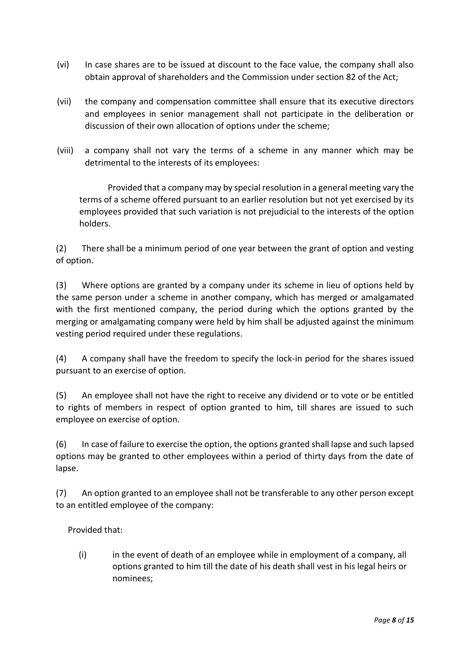- (vi) In case shares are to be issued at discount to the face value, the company shall also obtain approval of shareholders and the Commission under section 82 of the Act;
- (vii) the company and compensation committee shall ensure that its executive directors and employees in senior management shall not participate in the deliberation or discussion of their own allocation of options under the scheme;
- (viii) a company shall not vary the terms of a scheme in any manner which may be detrimental to the interests of its employees:

Provided that a company may by special resolution in a general meeting vary the terms of a scheme offered pursuant to an earlier resolution but not yet exercised by its employees provided that such variation is not prejudicial to the interests of the option holders.

(2) There shall be a minimum period of one year between the grant of option and vesting of option.

(3) Where options are granted by a company under its scheme in lieu of options held by the same person under a scheme in another company, which has merged or amalgamated with the first mentioned company, the period during which the options granted by the merging or amalgamating company were held by him shall be adjusted against the minimum vesting period required under these regulations.

(4) A company shall have the freedom to specify the lock-in period for the shares issued pursuant to an exercise of option.

(5) An employee shall not have the right to receive any dividend or to vote or be entitled to rights of members in respect of option granted to him, till shares are issued to such employee on exercise of option.

(6) In case of failure to exercise the option, the options granted shall lapse and such lapsed options may be granted to other employees within a period of thirty days from the date of lapse.

(7) An option granted to an employee shall not be transferable to any other person except to an entitled employee of the company:

### Provided that:

(i) in the event of death of an employee while in employment of a company, all options granted to him till the date of his death shall vest in his legal heirs or nominees;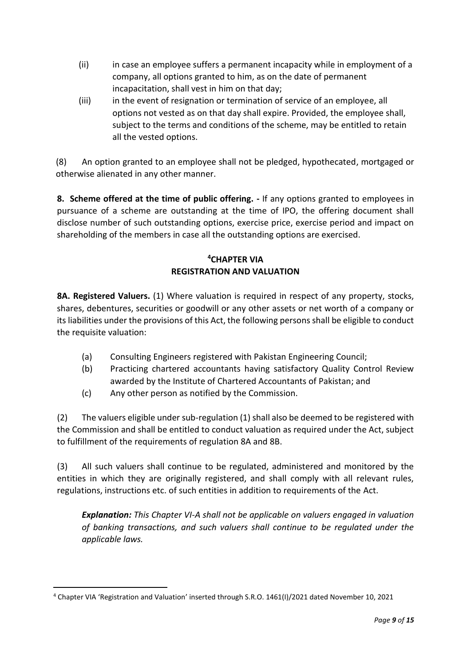- (ii) in case an employee suffers a permanent incapacity while in employment of a company, all options granted to him, as on the date of permanent incapacitation, shall vest in him on that day;
- (iii) in the event of resignation or termination of service of an employee, all options not vested as on that day shall expire. Provided, the employee shall, subject to the terms and conditions of the scheme, may be entitled to retain all the vested options.

(8) An option granted to an employee shall not be pledged, hypothecated, mortgaged or otherwise alienated in any other manner.

**8. Scheme offered at the time of public offering. -** If any options granted to employees in pursuance of a scheme are outstanding at the time of IPO, the offering document shall disclose number of such outstanding options, exercise price, exercise period and impact on shareholding of the members in case all the outstanding options are exercised.

# **<sup>4</sup>CHAPTER VIA REGISTRATION AND VALUATION**

**8A. Registered Valuers.** (1) Where valuation is required in respect of any property, stocks, shares, debentures, securities or goodwill or any other assets or net worth of a company or its liabilities under the provisions of this Act, the following persons shall be eligible to conduct the requisite valuation:

- (a) Consulting Engineers registered with Pakistan Engineering Council;
- (b) Practicing chartered accountants having satisfactory Quality Control Review awarded by the Institute of Chartered Accountants of Pakistan; and
- (c) Any other person as notified by the Commission.

(2) The valuers eligible under sub-regulation (1) shall also be deemed to be registered with the Commission and shall be entitled to conduct valuation as required under the Act, subject to fulfillment of the requirements of regulation 8A and 8B.

(3) All such valuers shall continue to be regulated, administered and monitored by the entities in which they are originally registered, and shall comply with all relevant rules, regulations, instructions etc. of such entities in addition to requirements of the Act.

*Explanation: This Chapter VI-A shall not be applicable on valuers engaged in valuation of banking transactions, and such valuers shall continue to be regulated under the applicable laws.*

j <sup>4</sup> Chapter VIA 'Registration and Valuation' inserted through S.R.O. 1461(I)/2021 dated November 10, 2021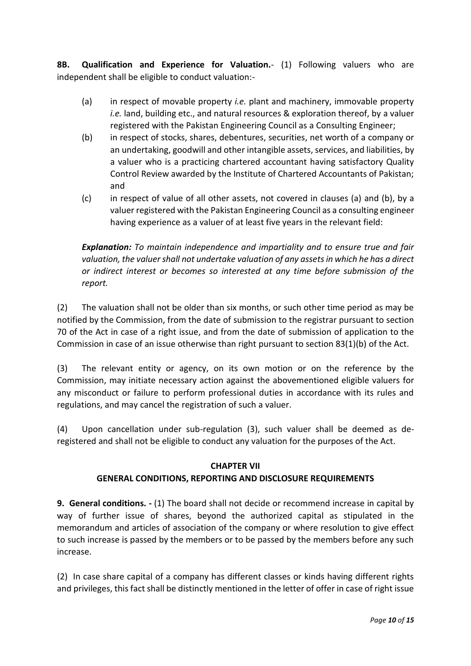**8B. Qualification and Experience for Valuation.**- (1) Following valuers who are independent shall be eligible to conduct valuation:-

- (a) in respect of movable property *i.e.* plant and machinery, immovable property *i.e.* land, building etc., and natural resources & exploration thereof, by a valuer registered with the Pakistan Engineering Council as a Consulting Engineer;
- (b) in respect of stocks, shares, debentures, securities, net worth of a company or an undertaking, goodwill and other intangible assets, services, and liabilities, by a valuer who is a practicing chartered accountant having satisfactory Quality Control Review awarded by the Institute of Chartered Accountants of Pakistan; and
- (c) in respect of value of all other assets, not covered in clauses (a) and (b), by a valuer registered with the Pakistan Engineering Council as a consulting engineer having experience as a valuer of at least five years in the relevant field:

*Explanation: To maintain independence and impartiality and to ensure true and fair valuation, the valuer shall not undertake valuation of any assets in which he has a direct or indirect interest or becomes so interested at any time before submission of the report.*

(2) The valuation shall not be older than six months, or such other time period as may be notified by the Commission, from the date of submission to the registrar pursuant to section 70 of the Act in case of a right issue, and from the date of submission of application to the Commission in case of an issue otherwise than right pursuant to section 83(1)(b) of the Act.

(3) The relevant entity or agency, on its own motion or on the reference by the Commission, may initiate necessary action against the abovementioned eligible valuers for any misconduct or failure to perform professional duties in accordance with its rules and regulations, and may cancel the registration of such a valuer.

(4) Upon cancellation under sub-regulation (3), such valuer shall be deemed as deregistered and shall not be eligible to conduct any valuation for the purposes of the Act.

### **CHAPTER VII**

### **GENERAL CONDITIONS, REPORTING AND DISCLOSURE REQUIREMENTS**

**9. General conditions. -** (1) The board shall not decide or recommend increase in capital by way of further issue of shares, beyond the authorized capital as stipulated in the memorandum and articles of association of the company or where resolution to give effect to such increase is passed by the members or to be passed by the members before any such increase.

(2) In case share capital of a company has different classes or kinds having different rights and privileges, this fact shall be distinctly mentioned in the letter of offer in case of right issue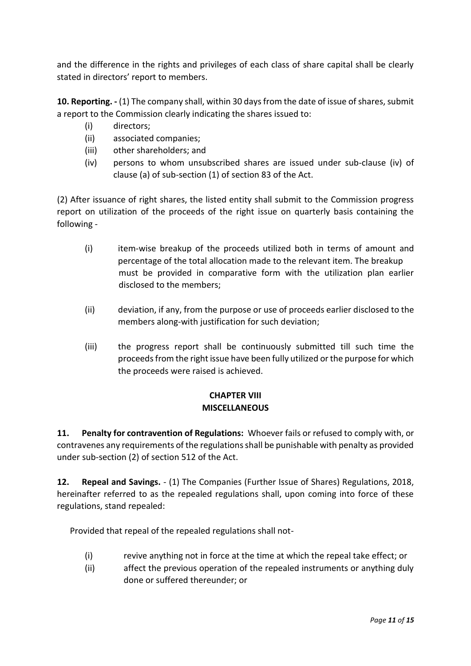and the difference in the rights and privileges of each class of share capital shall be clearly stated in directors' report to members.

**10. Reporting. -** (1) The company shall, within 30 days from the date of issue of shares, submit a report to the Commission clearly indicating the shares issued to:

- (i) directors;
- (ii) associated companies;
- (iii) other shareholders; and
- (iv) persons to whom unsubscribed shares are issued under sub-clause (iv) of clause (a) of sub-section (1) of section 83 of the Act.

(2) After issuance of right shares, the listed entity shall submit to the Commission progress report on utilization of the proceeds of the right issue on quarterly basis containing the following -

- (i) item-wise breakup of the proceeds utilized both in terms of amount and percentage of the total allocation made to the relevant item. The breakup must be provided in comparative form with the utilization plan earlier disclosed to the members;
- (ii) deviation, if any, from the purpose or use of proceeds earlier disclosed to the members along-with justification for such deviation;
- (iii) the progress report shall be continuously submitted till such time the proceeds from the right issue have been fully utilized or the purpose for which the proceeds were raised is achieved.

# **CHAPTER VIII MISCELLANEOUS**

**11. Penalty for contravention of Regulations:** Whoever fails or refused to comply with, or contravenes any requirements of the regulations shall be punishable with penalty as provided under sub-section (2) of section 512 of the Act.

**12. Repeal and Savings.** - (1) The Companies (Further Issue of Shares) Regulations, 2018, hereinafter referred to as the repealed regulations shall, upon coming into force of these regulations, stand repealed:

Provided that repeal of the repealed regulations shall not-

- (i) revive anything not in force at the time at which the repeal take effect; or
- (ii) affect the previous operation of the repealed instruments or anything duly done or suffered thereunder; or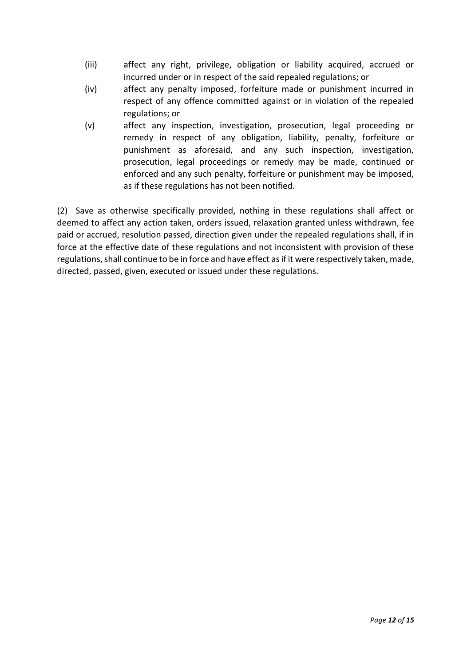- (iii) affect any right, privilege, obligation or liability acquired, accrued or incurred under or in respect of the said repealed regulations; or
- (iv) affect any penalty imposed, forfeiture made or punishment incurred in respect of any offence committed against or in violation of the repealed regulations; or
- (v) affect any inspection, investigation, prosecution, legal proceeding or remedy in respect of any obligation, liability, penalty, forfeiture or punishment as aforesaid, and any such inspection, investigation, prosecution, legal proceedings or remedy may be made, continued or enforced and any such penalty, forfeiture or punishment may be imposed, as if these regulations has not been notified.

(2) Save as otherwise specifically provided, nothing in these regulations shall affect or deemed to affect any action taken, orders issued, relaxation granted unless withdrawn, fee paid or accrued, resolution passed, direction given under the repealed regulations shall, if in force at the effective date of these regulations and not inconsistent with provision of these regulations, shall continue to be in force and have effect as if it were respectively taken, made, directed, passed, given, executed or issued under these regulations.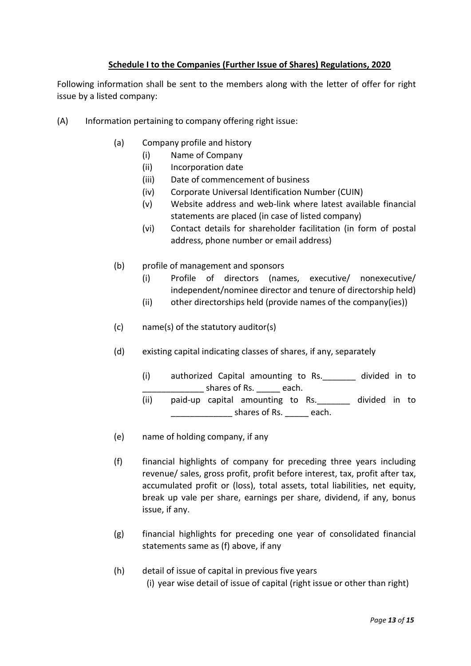## **Schedule I to the Companies (Further Issue of Shares) Regulations, 2020**

Following information shall be sent to the members along with the letter of offer for right issue by a listed company:

- (A) Information pertaining to company offering right issue:
	- (a) Company profile and history
		- (i) Name of Company
		- (ii) Incorporation date
		- (iii) Date of commencement of business
		- (iv) Corporate Universal Identification Number (CUIN)
		- (v) Website address and web-link where latest available financial statements are placed (in case of listed company)
		- (vi) Contact details for shareholder facilitation (in form of postal address, phone number or email address)
	- (b) profile of management and sponsors
		- (i) Profile of directors (names, executive/ nonexecutive/ independent/nominee director and tenure of directorship held)
		- (ii) other directorships held (provide names of the company(ies))
	- (c) name(s) of the statutory auditor(s)
	- (d) existing capital indicating classes of shares, if any, separately
		- (i) authorized Capital amounting to Rs. \_\_\_\_\_\_ divided in to shares of Rs. \_\_\_\_\_\_ each.
		- (ii) paid-up capital amounting to Rs. \_\_\_\_\_\_ divided in to shares of Rs. each.
	- (e) name of holding company, if any
	- (f) financial highlights of company for preceding three years including revenue/ sales, gross profit, profit before interest, tax, profit after tax, accumulated profit or (loss), total assets, total liabilities, net equity, break up vale per share, earnings per share, dividend, if any, bonus issue, if any.
	- (g) financial highlights for preceding one year of consolidated financial statements same as (f) above, if any
	- (h) detail of issue of capital in previous five years (i) year wise detail of issue of capital (right issue or other than right)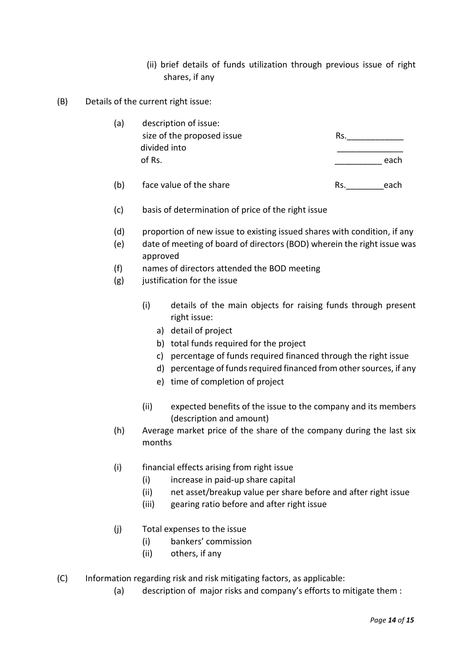- (ii) brief details of funds utilization through previous issue of right shares, if any
- (B) Details of the current right issue:

| (a) | description of issue:      |      |
|-----|----------------------------|------|
|     | size of the proposed issue | Rs.  |
|     | divided into               |      |
|     | of Rs.                     | each |
|     |                            |      |

- (b) face value of the share Rs. each
- (c) basis of determination of price of the right issue
- (d) proportion of new issue to existing issued shares with condition, if any
- (e) date of meeting of board of directors (BOD) wherein the right issue was approved
- (f) names of directors attended the BOD meeting
- (g) justification for the issue
	- (i) details of the main objects for raising funds through present right issue:
		- a) detail of project
		- b) total funds required for the project
		- c) percentage of funds required financed through the right issue
		- d) percentage of funds required financed from other sources, if any
		- e) time of completion of project
	- (ii) expected benefits of the issue to the company and its members (description and amount)
- (h) Average market price of the share of the company during the last six months
- (i) financial effects arising from right issue
	- (i) increase in paid-up share capital
	- (ii) net asset/breakup value per share before and after right issue
	- (iii) gearing ratio before and after right issue
- (j) Total expenses to the issue
	- (i) bankers' commission
	- (ii) others, if any
- (C) Information regarding risk and risk mitigating factors, as applicable:
	- (a) description of major risks and company's efforts to mitigate them :